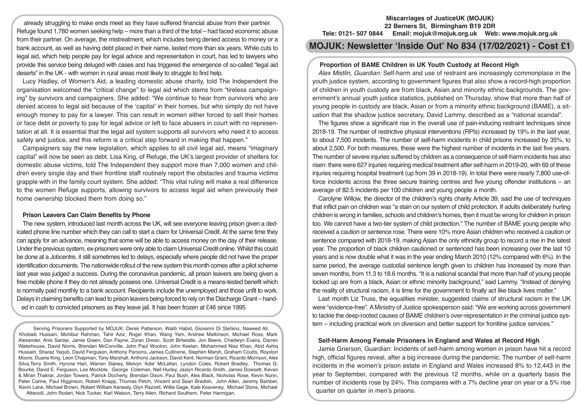already struggling to make ends meet as they have suffered financial abuse from their partner. Refuge found 1,780 women seeking help – more than a third of the total – had faced economic abuse from their partner. On average, the mistreatment, which includes being denied access to money or a bank account, as well as having debt placed in their name, lasted more than six years. While cuts to legal aid, which help people pay for legal advice and representation in court, has led to lawyers who provide this service being deluged with cases and has triggered the emergence of so-called "legal aid deserts" in the UK - with women in rural areas most likely to struggle to find help.

Lucy Hadley, of Women's Aid, a leading domestic abuse charity, told The Independent the organisation welcomed the "critical change" to legal aid which stems from "tireless campaigning" by survivors and campaigners. She added: "We continue to hear from survivors who are denied access to legal aid because of the 'capital' in their homes, but who simply do not have enough money to pay for a lawyer. This can result in women either forced to sell their homes or face debt or poverty to pay for legal advice or left to face abusers in court with no representation at all. It is essential that the legal aid system supports all survivors who need it to access safety and justice, and this reform is a critical step forward in making that happen."

Campaigners say the new legislation, which applies to all civil legal aid, means "imaginary capital" will now be seen as debt. Lisa King, of Refuge, the UK's largest provider of shelters for domestic abuse victims, told The Independent they support more than 7,000 women and children every single day and their frontline staff routinely report the obstacles and trauma victims grapple with in the family court system. She added: "This vital ruling will make a real difference to the women Refuge supports, allowing survivors to access legal aid when previously their home ownership blocked them from doing so."

## **Prison Leavers Can Claim Benefits by Phone**

The new system, introduced last month across the UK, will see everyone leaving prison given a dedicated phone line number which they can call to start a claim for Universal Credit. At the same time they can apply for an advance, meaning that some will be able to access money on the day of their release. Under the previous system, ex-prisoners were only able to claim Universal Credit online. Whilst this could be done at a Jobcentre, it still sometimes led to delays, especially where people did not have the proper identification documents. The nationwide rollout of the new system this month comes after a pilot scheme last year was judged a success. During the coronavirus pandemic, all prison leavers are being given a free mobile phone if they do not already possess one. Universal Credit is a means-tested benefit which is normally paid monthly to a bank account. Recipients include the unemployed and those unfit to work. Delays in claiming benefits can lead to prison leavers being forced to rely on the Discharge Grant – handed in cash to convicted prisoners as they leave jail. It has been frozen at £46 since 1995.

Serving Prisoners Supported by MOJUK: Derek Patterson, Walib Habid, Giovanni Di Stefano, Naweed Ali, Khobaib Hussain, Mohibur Rahman, Tahir Aziz, Roger Khan, Wang Yam, Andrew Malkinson, Michael Ross, Mark Alexander, Anis Sardar, Jamie Green, Dan Payne, Zoran Dresic, Scott Birtwistle, Jon Beere, Chedwyn Evans, Darren Waterhouse, David Norris, Brendan McConville, John Paul Wooton, John Keelan, Mohammed Niaz Khan, Abid Ashiq Hussain, Sharaz Yaqub, David Ferguson, Anthony Parsons, James Cullinene, Stephen Marsh, Graham Coutts, Royston Moore, Duane King, Leon Chapman, Tony Marshall, Anthony Jackson, David Kent, Norman Grant, Ricardo Morrison, Alex Silva,Terry Smith, Hyrone Hart, Warren Slaney, Melvyn 'Adie' McLellan, Lyndon Coles, Robert Bradley, Thomas G. Bourke, David E. Ferguson, Lee Mockble, George Coleman, Neil Hurley, Jaslyn Ricardo Smith, James Dowsett, Kevan & Miran Thakrar, Jordan Towers, Patrick Docherty, Brendan Dixon, Paul Bush, Alex Black, Nicholas Rose, Kevin Nunn, Peter Carine, Paul Higginson, Robert Knapp, Thomas Petch, Vincent and Sean Bradish, John Allen, Jeremy Bamber, Kevin Lane, Michael Brown, Robert William Kenealy, Glyn Razzell, Willie Gage, Kate Keaveney, Michael Stone, Michael Attwooll, John Roden, Nick Tucker, Karl Watson, Terry Allen, Richard Southern, Peter Hannigan.

### **Miscarriages of JusticeUK (MOJUK) 22 Berners St, Birmingham B19 2DR Tele: 0121- 507 0844 Email: mojuk@mojuk.org.uk Web: www.mojuk.org.uk**

# **MOJUK: Newsletter 'Inside Out' No 834 (17/02/2021) - Cost £1**

# **Proportion of BAME Children in UK Youth Custody at Record High**

*Alex Mistlin, Guardian:* Self-harm and use of restraint are increasingly commonplace in the youth justice system, according to government figures that also show a record-high proportion of children in youth custody are from black, Asian and minority ethnic backgrounds. The government's annual youth justice statistics, published on Thursday, show that more than half of young people in custody are black, Asian or from a minority ethnic background (BAME), a situation that the shadow justice secretary, David Lammy, described as a "national scandal".

The figures show a significant rise in the overall use of pain-inducing restraint techniques since 2018-19. The number of restrictive physical interventions (RPIs) increased by 19% in the last year, to about 7,500 incidents. The number of self-harm incidents in child prisons increased by 35%, to about 2,500. For both measures, these were the highest number of incidents in the last five years. The number of severe injuries suffered by children as a consequence of self-harm incidents has also risen: there were 627 injuries requiring medical treatment after self-harm in 2019-20, with 69 of these injuries requiring hospital treatment (up from 39 in 2018-19). In total there were nearly 7,800 use-offorce incidents across the three secure training centres and five young offender institutions – an average of 82.5 incidents per 100 children and young people a month.

Carolyne Willow, the director of the children's rights charity Article 39, said the use of techniques that inflict pain on children was "a stain on our system of child protection. If adults deliberately hurting children is wrong in families, schools and children's homes, then it must be wrong for children in prison too. We cannot have a two-tier system of child protection." The number of BAME young people who received a caution or sentence rose. There were 10% more Asian children who received a caution or sentence compared with 2018-19, making Asian the only ethnicity group to record a rise in the latest year. The proportion of black children cautioned or sentenced has been increasing over the last 10 years and is now double what it was in the year ending March 2010 (12% compared with 6%). In the same period, the average custodial sentence length given to children has increased by more than seven months, from 11.3 to 18.6 months. "It is a national scandal that more than half of young people locked up are from a black, Asian or ethnic minority background," said Lammy. "Instead of denying the reality of structural racism, it is time for the government to finally act like black lives matter."

Last month Liz Truss, the equalities minister, suggested claims of structural racism in the UK were "evidence-free". A Ministry of Justice spokesperson said: "We are working across government to tackle the deep-rooted causes of BAME children's over-representation in the criminal justice system – including practical work on diversion and better support for frontline justice services."

#### **Self-Harm Among Female Prisoners in England and Wales at Record High**

Jamie Grierson, Guardian: Incidents of self-harm among women in prison have hit a record high, official figures reveal, after a big increase during the pandemic. The number of self-harm incidents in the women's prison estate in England and Wales increased 8% to 12,443 in the year to September, compared with the previous 12 months, while on a quarterly basis the number of incidents rose by 24%. This compares with a 7% decline year on year or a 5% rise quarter on quarter in men's prisons.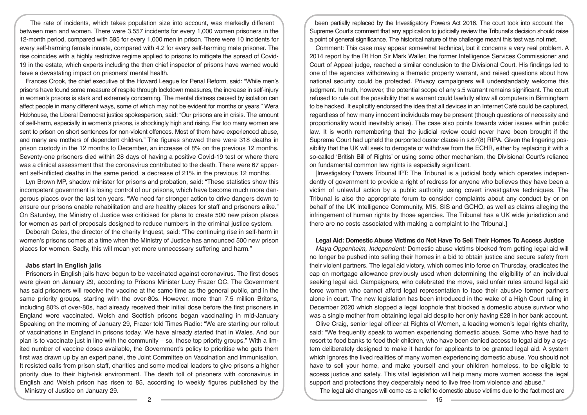The rate of incidents, which takes population size into account, was markedly different between men and women. There were 3,557 incidents for every 1,000 women prisoners in the 12-month period, compared with 595 for every 1,000 men in prison. There were 10 incidents for every self-harming female inmate, compared with 4.2 for every self-harming male prisoner. The rise coincides with a highly restrictive regime applied to prisons to mitigate the spread of Covid-19 in the estate, which experts including the then chief inspector of prisons have warned would have a devastating impact on prisoners' mental health.

Frances Crook, the chief executive of the Howard League for Penal Reform, said: "While men's prisons have found some measure of respite through lockdown measures, the increase in self-injury in women's prisons is stark and extremely concerning. The mental distress caused by isolation can affect people in many different ways, some of which may not be evident for months or years." Wera Hobhouse, the Liberal Democrat justice spokesperson, said: "Our prisons are in crisis. The amount of self-harm, especially in women's prisons, is shockingly high and rising. Far too many women are sent to prison on short sentences for non-violent offences. Most of them have experienced abuse, and many are mothers of dependent children." The figures showed there were 318 deaths in prison custody in the 12 months to December, an increase of 8% on the previous 12 months. Seventy-one prisoners died within 28 days of having a positive Covid-19 test or where there was a clinical assessment that the coronavirus contributed to the death. There were 67 apparent self-inflicted deaths in the same period, a decrease of 21% in the previous 12 months.

Lyn Brown MP, shadow minister for prisons and probation, said: "These statistics show this incompetent government is losing control of our prisons, which have become much more dangerous places over the last ten years. "We need far stronger action to drive dangers down to ensure our prisons enable rehabilitation and are healthy places for staff and prisoners alike." On Saturday, the Ministry of Justice was criticised for plans to create 500 new prison places for women as part of proposals designed to reduce numbers in the criminal justice system.

Deborah Coles, the director of the charity Inquest, said: "The continuing rise in self-harm in women's prisons comes at a time when the Ministry of Justice has announced 500 new prison places for women. Sadly, this will mean yet more unnecessary suffering and harm."

#### **Jabs start in English jails**

Prisoners in English jails have begun to be vaccinated against coronavirus. The first doses were given on January 29, according to Prisons Minister Lucy Frazer QC. The Government has said prisoners will receive the vaccine at the same time as the general public, and in the same priority groups, starting with the over-80s. However, more than 7.5 million Britons, including 80% of over-80s, had already received their initial dose before the first prisoners in England were vaccinated. Welsh and Scottish prisons began vaccinating in mid-January Speaking on the morning of January 29, Frazer told Times Radio: "We are starting our rollout of vaccinations in England in prisons today. We have already started that in Wales. And our plan is to vaccinate just in line with the community  $-$  so, those top priority groups." With a limited number of vaccine doses available, the Government's policy to prioritise who gets them first was drawn up by an expert panel, the Joint Committee on Vaccination and Immunisation. It resisted calls from prison staff, charities and some medical leaders to give prisons a higher priority due to their high-risk environment. The death toll of prisoners with coronavirus in English and Welsh prison has risen to 85, according to weekly figures published by the Ministry of Justice on January 29.

been partially replaced by the Investigatory Powers Act 2016. The court took into account the Supreme Court's comment that any application to judicially review the Tribunal's decision should raise a point of general significance. The historical nature of the challenge meant this test was not met.

Comment: This case may appear somewhat technical, but it concerns a very real problem. A 2014 report by the Rt Hon Sir Mark Waller, the former Intelligence Services Commissioner and Court of Appeal judge, reached a similar conclusion to the Divisional Court. His findings led to one of the agencies withdrawing a thematic property warrant, and raised questions about how national security could be protected. Privacy campaigners will understandably welcome this judgment. In truth, however, the potential scope of any s.5 warrant remains significant. The court refused to rule out the possibility that a warrant could lawfully allow all computers in Birmingham to be hacked. It explicitly endorsed the idea that all devices in an Internet Café could be captured, regardless of how many innocent individuals may be present (though questions of necessity and proportionality would inevitably arise). The case also points towards wider issues within public law. It is worth remembering that the judicial review could never have been brought if the Supreme Court had upheld the purported ouster clause in s.67(8) RIPA. Given the lingering possibility that the UK will seek to derogate or withdraw from the ECHR, either by replacing it with a so-called 'British Bill of Rights' or using some other mechanism, the Divisional Court's reliance on fundamental common law rights is especially significant.

[Investigatory Powers Tribunal IPT: The Tribunal is a judicial body which operates independently of government to provide a right of redress for anyone who believes they have been a victim of unlawful action by a public authority using covert investigative techniques. The Tribunal is also the appropriate forum to consider complaints about any conduct by or on behalf of the UK Intelligence Community, MI5, SIS and GCHQ, as well as claims alleging the infringement of human rights by those agencies. The Tribunal has a UK wide jurisdiction and there are no costs associated with making a complaint to the Tribunal.]

# **Legal Aid: Domestic Abuse Victims do Not Have To Sell Their Homes To Access Justice**

*Maya Oppenheim, Independent:* Domestic abuse victims blocked from getting legal aid will no longer be pushed into selling their homes in a bid to obtain justice and secure safety from their violent partners. The legal aid victory, which comes into force on Thursday, eradicates the cap on mortgage allowance previously used when determining the eligibility of an individual seeking legal aid. Campaigners, who celebrated the move, said unfair rules around legal aid force women who cannot afford legal representation to face their abusive former partners alone in court. The new legislation has been introduced in the wake of a High Court ruling in December 2020 which stopped a legal loophole that blocked a domestic abuse survivor who was a single mother from obtaining legal aid despite her only having £28 in her bank account.

Olive Craig, senior legal officer at Rights of Women, a leading women's legal rights charity, said: "We frequently speak to women experiencing domestic abuse. Some who have had to resort to food banks to feed their children, who have been denied access to legal aid by a system deliberately designed to make it harder for applicants to be granted legal aid. A system which ignores the lived realities of many women experiencing domestic abuse. You should not have to sell your home, and make yourself and your children homeless, to be eligible to access justice and safety. This vital legislation will help many more women access the legal support and protections they desperately need to live free from violence and abuse."

The legal aid changes will come as a relief to domestic abuse victims due to the fact most are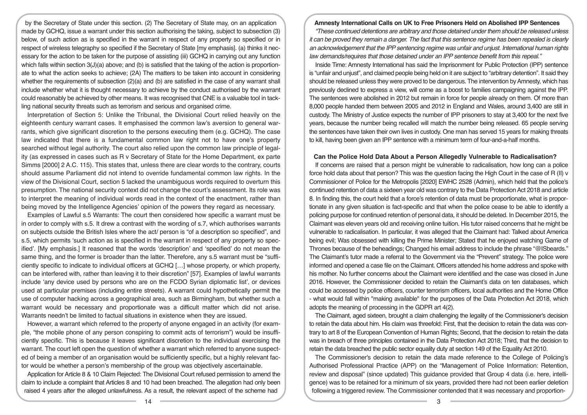by the Secretary of State under this section. (2) The Secretary of State may, on an application made by GCHQ, issue a warrant under this section authorising the taking, subject to subsection (3) below, of such action as is specified in the warrant in respect of any property so specified or in respect of wireless telegraphy so specified if the Secretary of State [my emphasis]. (a) thinks it necessary for the action to be taken for the purpose of assisting (iii) GCHQ in carrying out any function which falls within section  $3(J)(a)$  above; and (b) is satisfied that the taking of the action is proportionate to what the action seeks to achieve; (2A) The matters to be taken into account in considering whether the requirements of subsection (2)(a) and (b) are satisfied in the case of any warrant shall include whether what it is thought necessary to achieve by the conduct authorised by the warrant could reasonably be achieved by other means. It was recognised that CNE is a valuable tool in tackling national security threats such as terrorism and serious and organised crime.

Interpretation of Section 5: Unlike the Tribunal, the Divisional Court relied heavily on the eighteenth century warrant cases. It emphasised the common law's aversion to general warrants, which give significant discretion to the persons executing them (e.g. GCHQ). The case law indicated that there is a fundamental common law right not to have one's property searched without legal authority. The court also relied upon the common law principle of legality (as expressed in cases such as R v Secretary of State for the Home Department, ex parte Simms [2000] 2 A.C. 115). This states that, unless there are clear words to the contrary, courts should assume Parliament did not intend to override fundamental common law rights. In the view of the Divisional Court, section 5 lacked the unambiguous words required to overturn this presumption. The national security context did not change the court's assessment. Its role was to interpret the meaning of individual words read in the context of the enactment, rather than being moved by the Intelligence Agencies' opinion of the powers they regard as necessary.

Examples of Lawful s.5 Warrants: The court then considered how specific a warrant must be in order to comply with s.5. It drew a contrast with the wording of s.7, which authorises warrants on subjects outside the British Isles where the act/ person is "of a description so specified", and s.5, which permits 'such action as is specified in the warrant in respect of any property so specified'. [My emphasis.] It reasoned that the words 'description' and 'specified' do not mean the same thing, and the former is broader than the latter. Therefore, any s.5 warrant must be "sufficiently specific to indicate to individual officers at GCHQ […] whose property, or which property, can be interfered with, rather than leaving it to their discretion" [57]. Examples of lawful warrants include 'any device used by persons who are on the FCDO Syrian diplomatic list', or devices used at particular premises (including entire streets). A warrant could hypothetically permit the use of computer hacking across a geographical area, such as Birmingham, but whether such a warrant would be necessary and proportionate was a difficult matter which did not arise. Warrants needn't be limited to factual situations in existence when they are issued.

However, a warrant which referred to the property of anyone engaged in an activity (for example, "the mobile phone of any person conspiring to commit acts of terrorism") would be insufficiently specific. This is because it leaves significant discretion to the individual exercising the warrant. The court left open the question of whether a warrant which referred to anyone suspected of being a member of an organisation would be sufficiently specific, but a highly relevant factor would be whether a person's membership of the group was objectively ascertainable.

Application for Article 8 & 10 Claim Rejected: The Divisional Court refused permission to amend the claim to include a complaint that Articles 8 and 10 had been breached. The allegation had only been raised 4 years after the alleged unlawfulness. As a result, the relevant aspect of the scheme had

# **Amnesty International Calls on UK to Free Prisoners Held on Abolished IPP Sentences**

*"These continued detentions are arbitrary and those detained under them should be released unless it can be proved they remain a danger. The fact that this sentence regime has been repealed is clearly an acknowledgement that the IPP sentencing regime was unfair and unjust. International human rights law demands/requires that those detained under an IPP sentence benefit from this repeal."*

Inside Time: Amnesty International has said the Imprisonment for Public Protection (IPP) sentence is "unfair and unjust", and claimed people being held on it are subject to "arbitrary detention". It said they should be released unless they were proved to be dangerous. The intervention by Amnesty, which has previously declined to express a view, will come as a boost to families campaigning against the IPP. The sentences were abolished in 2012 but remain in force for people already on them. Of more than 8,000 people handed them between 2005 and 2012 in England and Wales, around 3,400 are still in custody. The Ministry of Justice expects the number of IPP prisoners to stay at 3,400 for the next five years, because the number being recalled will match the number being released. 65 people serving the sentences have taken their own lives in custody. One man has served 15 years for making threats to kill, having been given an IPP sentence with a minimum term of four-and-a-half months.

#### **Can the Police Hold Data About a Person Allegedly Vulnerable to Radicalisation?**

If concerns are raised that a person might be vulnerable to radicalisation, how long can a police force hold data about that person? This was the question facing the High Court in the case of R (II) v Commissioner of Police for the Metropolis [2020] EWHC 2528 (Admin), which held that the police's continued retention of data a sixteen year old was contrary to the Data Protection Act 2018 and article 8. In finding this, the court held that a force's retention of data must be proportionate, what is proportionate in any given situation is fact-specific and that when the police cease to be able to identify a policing purpose for continued retention of personal data, it should be deleted. In December 2015, the Claimant was eleven years old and receiving online tuition. His tutor raised concerns that he might be vulnerable to radicalisation. In particular, it was alleged that the Claimant had: Talked about America being evil; Was obsessed with killing the Prime Minister; Stated that he enjoyed watching Game of Thrones because of the beheadings; Changed his email address to include the phrase "@ISbeards." The Claimant's tutor made a referral to the Government via the "Prevent" strategy. The police were informed and opened a case file on the Claimant. Officers attended his home address and spoke with his mother. No further concerns about the Claimant were identified and the case was closed in June 2016. However, the Commissioner decided to retain the Claimant's data on ten databases, which could be accessed by police officers, counter terrorism officers, local authorities and the Home Office - what would fall within "making available" for the purposes of the Data Protection Act 2018, which adopts the meaning of processing in the GDPR art 4(2).

The Claimant, aged sixteen, brought a claim challenging the legality of the Commissioner's decision to retain the data about him. His claim was threefold: First, that the decision to retain the data was contrary to art 8 of the European Convention of Human Rights; Second, that the decision to retain the data was in breach of three principles contained in the Data Protection Act 2018; Third, that the decision to retain the data breached the public sector equality duty at section 149 of the Equality Act 2010.

The Commissioner's decision to retain the data made reference to the College of Policing's Authorised Professional Practice (APP) on the "Management of Police Information: Retention, review and disposal" (since updated) This guidance provided that Group 4 data (i.e. here, intelligence) was to be retained for a minimum of six years, provided there had not been earlier deletion following a triggered review. The Commissioner contended that it was necessary and proportion-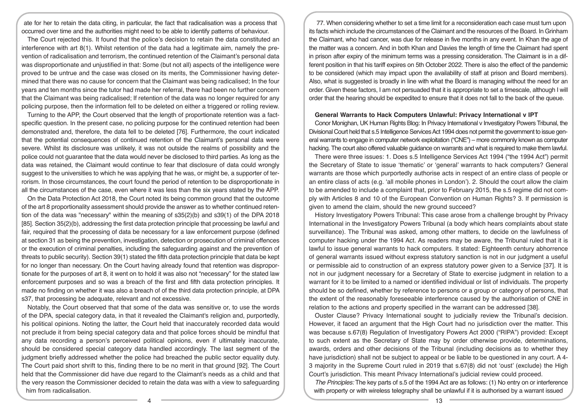ate for her to retain the data citing, in particular, the fact that radicalisation was a process that occurred over time and the authorities might need to be able to identify patterns of behaviour.

The Court rejected this. It found that the police's decision to retain the data constituted an interference with art 8(1). Whilst retention of the data had a legitimate aim, namely the prevention of radicalisation and terrorism, the continued retention of the Claimant's personal data was disproportionate and unjustified in that: Some (but not all) aspects of the intelligence were proved to be untrue and the case was closed on its merits, the Commissioner having determined that there was no cause for concern that the Claimant was being radicalised; In the four years and ten months since the tutor had made her referral, there had been no further concern that the Claimant was being radicalised; If retention of the data was no longer required for any policing purpose, then the information fell to be deleted on either a triggered or rolling review.

Turning to the APP, the Court observed that the length of proportionate retention was a factspecific question. In the present case, no policing purpose for the continued retention had been demonstrated and, therefore, the data fell to be deleted [76]. Furthermore, the court indicated that the potential consequences of continued retention of the Claimant's personal data were severe. Whilst its disclosure was unlikely, it was not outside the realms of possibility and the police could not guarantee that the data would never be disclosed to third parties. As long as the data was retained, the Claimant would continue to fear that disclosure of data could wrongly suggest to the universities to which he was applying that he was, or might be, a supporter of terrorism. In those circumstances, the court found the period of retention to be disproportionate in all the circumstances of the case, even where it was less than the six years stated by the APP.

On the Data Protection Act 2018, the Court noted its being common ground that the outcome of the art 8 proportionality assessment should provide the answer as to whether continued retention of the data was "necessary" within the meaning of s35(2)(b) and s39(1) of the DPA 2018 [85]. Section 35(2)(b), addressing the first data protection principle that processing be lawful and fair, required that the processing of data be necessary for a law enforcement purpose (defined at section 31 as being the prevention, investigation, detection or prosecution of criminal offences or the execution of criminal penalties, including the safeguarding against and the prevention of threats to public security). Section 39(1) stated the fifth data protection principle that data be kept for no longer than necessary. On the Court having already found that retention was disproportionate for the purposes of art 8, it went on to hold it was also not "necessary" for the stated law enforcement purposes and so was a breach of the first and fifth data protection principles. It made no finding on whether it was also a breach of of the third data protection principle, at DPA s37, that processing be adequate, relevant and not excessive.

Notably, the Court observed that that some of the data was sensitive or, to use the words of the DPA, special category data, in that it revealed the Claimant's religion and, purportedly, his political opinions. Noting the latter, the Court held that inaccurately recorded data would not preclude it from being special category data and that police forces should be mindful that any data recording a person's perceived political opinions, even if ultimately inaccurate, should be considered special category data handled accordingly. The last segment of the judgment briefly addressed whether the police had breached the public sector equality duty. The Court paid short shrift to this, finding there to be no merit in that ground [92]. The Court held that the Commissioner did have due regard to the Claimant's needs as a child and that the very reason the Commissioner decided to retain the data was with a view to safeguarding him from radicalisation.

77. When considering whether to set a time limit for a reconsideration each case must turn upon its facts which include the circumstances of the Claimant and the resources of the Board. In Grinham the Claimant, who had cancer, was due for release in five months in any event. In Khan the age of the matter was a concern. And in both Khan and Davies the length of time the Claimant had spent in prison after expiry of the minimum terms was a pressing consideration. The Claimant is in a different position in that his tariff expires on 5th October 2022. There is also the effect of the pandemic to be considered (which may impact upon the availability of staff at prison and Board members). Also, what is suggested is broadly in line with what the Board is managing without the need for an order. Given these factors, I am not persuaded that it is appropriate to set a timescale, although I will order that the hearing should be expedited to ensure that it does not fall to the back of the queue.

#### **General Warrants to Hack Computers Unlawful: Privacy International v IPT**

Conor Monighan, UK Human Rights Blog: In Privacy International v Investigatory Powers Tribunal, the Divisional Court held that s.5 Intelligence Services Act 1994 does not permit the government to issue general warrants to engage in computer network exploitation ("CNE") – more commonly known as computer hacking. The court also offered valuable guidance on warrants and what is required to make them lawful.

There were three issues: 1. Does s.5 Intelligence Services Act 1994 ("the 1994 Act") permit the Secretary of State to issue 'thematic' or 'general' warrants to hack computers? General warrants are those which purportedly authorise acts in respect of an entire class of people or an entire class of acts (e.g. 'all mobile phones in London'). 2. Should the court allow the claim to be amended to include a complaint that, prior to February 2015, the s.5 regime did not comply with Articles 8 and 10 of the European Convention on Human Rights? 3. If permission is given to amend the claim, should the new ground succeed?

History Investigatory Powers Tribunal: This case arose from a challenge brought by Privacy International in the Investigatory Powers Tribunal (a body which hears complaints about state surveillance). The Tribunal was asked, among other matters, to decide on the lawfulness of computer hacking under the 1994 Act. As readers may be aware, the Tribunal ruled that it is lawful to issue general warrants to hack computers. It stated: Eighteenth century abhorrence of general warrants issued without express statutory sanction is not in our judgment a useful or permissible aid to construction of an express statutory power given to a Service [37]. It is not in our judgment necessary for a Secretary of State to exercise judgment in relation to a warrant for it to be limited to a named or identified individual or list of individuals. The property should be so defined, whether by reference to persons or a group or category of persons, that the extent of the reasonably foreseeable interference caused by the authorisation of CNE in relation to the actions and property specified in the warrant can be addressed [38].

Ouster Clause? Privacy International sought to judicially review the Tribunal's decision. However, it faced an argument that the High Court had no jurisdiction over the matter. This was because s.67(8) Regulation of Investigatory Powers Act 2000 ("RIPA") provided: Except to such extent as the Secretary of State may by order otherwise provide, determinations, awards, orders and other decisions of the Tribunal (including decisions as to whether they have jurisdiction) shall not be subject to appeal or be liable to be questioned in any court. A 4-3 majority in the Supreme Court ruled in 2019 that s.67(8) did not 'oust' (exclude) the High Court's jurisdiction. This meant Privacy International's judicial review could proceed.

*The Principles:* The key parts of s.5 of the 1994 Act are as follows: (1) No entry on or interference with property or with wireless telegraphy shall be unlawful if it is authorised by a warrant issued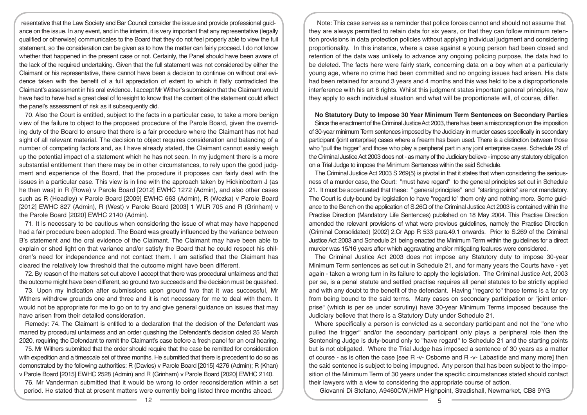resentative that the Law Society and Bar Council consider the issue and provide professional guidance on the issue. In any event, and in the interim, it is very important that any representative (legally qualified or otherwise) communicates to the Board that they do not feel properly able to view the full statement, so the consideration can be given as to how the matter can fairly proceed. I do not know whether that happened in the present case or not. Certainly, the Panel should have been aware of the lack of the required undertaking. Given that the full statement was not considered by either the Claimant or his representative, there cannot have been a decision to continue on without oral evidence taken with the benefit of a full appreciation of extent to which it flatly contradicted the Claimant's assessment in his oral evidence. I accept Mr Wither's submission that the Claimant would have had to have had a great deal of foresight to know that the content of the statement could affect the panel's assessment of risk as it subsequently did.

70. Also the Court is entitled, subject to the facts in a particular case, to take a more benign view of the failure to object to the proposed procedure of the Parole Board, given the overriding duty of the Board to ensure that there is a fair procedure where the Claimant has not had sight of all relevant material. The decision to object requires consideration and balancing of a number of competing factors and, as I have already stated, the Claimant cannot easily weigh up the potential impact of a statement which he has not seen. In my judgment there is a more substantial entitlement than there may be in other circumstances, to rely upon the good judgment and experience of the Board, that the procedure it proposes can fairly deal with the issues in a particular case. This view is in line with the approach taken by Hickinbottom J (as he then was) in R (Rowe) v Parole Board [2012] EWHC 1272 (Admin), and also other cases such as R (Headley) v Parole Board [2009] EWHC 663 (Admin), R (Wezka) v Parole Board [2012] EWHC 827 (Admin), R (West) v Parole Board [2003] 1 WLR 705 and R (Grinham) v the Parole Board [2020] EWHC 2140 (Admin).

71. It is necessary to be cautious when considering the issue of what may have happened had a fair procedure been adopted. The Board was greatly influenced by the variance between B's statement and the oral evidence of the Claimant. The Claimant may have been able to explain or shed light on that variance and/or satisfy the Board that he could respect his children's need for independence and not contact them. I am satisfied that the Claimant has cleared the relatively low threshold that the outcome might have been different.

72. By reason of the matters set out above I accept that there was procedural unfairness and that the outcome might have been different, so ground two succeeds and the decision must be quashed.

73. Upon my indication after submissions upon ground two that it was successful, Mr Withers withdrew grounds one and three and it is not necessary for me to deal with them. It would not be appropriate for me to go on to try and give general guidance on issues that may have arisen from their detailed consideration.

Remedy: 74. The Claimant is entitled to a declaration that the decision of the Defendant was marred by procedural unfairness and an order quashing the Defendant's decision dated 25 March 2020, requiring the Defendant to remit the Claimant's case before a fresh panel for an oral hearing.

75. Mr Withers submitted that the order should require that the case be remitted for consideration with expedition and a timescale set of three months. He submitted that there is precedent to do so as demonstrated by the following authorities: R (Davies) v Parole Board [2015] 4276 (Admin); R (Khan) v Parole Board [2015] EWHC 2528 (Admin) and R (Grinham) v Parole Board [2020] EWHC 2140.

76. Mr Vanderman submitted that it would be wrong to order reconsideration within a set period. He stated that at present matters were currently being listed three months ahead.

Note: This case serves as a reminder that police forces cannot and should not assume that they are always permitted to retain data for six years, or that they can follow minimum retention provisions in data protection policies without applying individual judgment and considering proportionality. In this instance, where a case against a young person had been closed and retention of the data was unlikely to advance any ongoing policing purpose, the data had to be deleted. The facts here were fairly stark, concerning data on a boy when at a particularly young age, where no crime had been committed and no ongoing issues had arisen. His data had been retained for around 3 years and 4 months and this was held to be a disproportionate interference with his art 8 rights. Whilst this judgment states important general principles, how they apply to each individual situation and what will be proportionate will, of course, differ.

#### **No Statutory Duty to Impose 30 Year Minimum Term Sentences on Secondary Parties**

Since the enactment of the Criminal Justice Act 2003, there has been a misconception on the imposition of 30-year minimum Term sentences imposed by the Judiciary in murder cases specifically in secondary participant (joint enterprise) cases where a firearm has been used. There is a distinction between those who "pull the trigger" and those who play a peripheral part in any joint enterprise cases. Schedule 29 of the Criminal Justice Act 2003 does not - as many of the Judiciary believe - impose any statutory obligation on a Trial Judge to impose the Minimum Sentences within the said Schedule.

The Criminal Justice Act 2003 S 269(5) is pivotal in that it states that when considering the seriousness of a murder case, the Court: "must have regard" to the general principles set out in Schedule 21. It must be accentuated that these: " general principles" and "starting points" are not mandatory. The Court is duty-bound by legislation to have "regard to" them only and nothing more. Some guidance to the Bench on the application of S.26Q of the Criminal Justice Act 2003 is contained within the Practise Direction (Mandatory Life Sentences) published on 18 May 2004. This Practise Direction amended the relevant provisions of what were previous guidelines, namely the Practise Direction (Criminal Consolidated) [2002] 2.Cr App R 533 para.49.1 onwards. Prior to S.269 of the Criminal Justice Act 2003 and Schedule 21 being enacted the Minimum Term within the guidelines for a direct murder was 15/16 years after which aggravating and/or mitigating features were considered.

The Criminal Justice Act 2003 does not impose any Statutory duty to impose 30-year Minimum Term sentences as set out in Schedule 21, and for many years the Courts have - yet again - taken a wrong turn in its failure to apply the legislation. The Criminal Justice Act, 2003 per se, is a penal statute and settled practise requires all penal statutes to be strictly applied and with any doubt to the benefit of the defendant. Having ''regard to" those terms is a far cry from being bound to the said terms. Many cases on secondary participation or "joint enterprise" (which is per se under scrutiny) have 30-year Minimum Terms imposed because the Judiciary believe that there is a Statutory Duty under Schedule 21.

Where specifically a person is convicted as a secondary participant and not the "one who pulled the trigger" and/or the secondary participant only plays a peripheral role then the Sentencing Judge is duty-bound only to "have regard'' to Schedule 21 and the starting points but is not obligated. Where the Trial Judge has imposed a sentence of 30 years as a matter of course - as is often the case [see R -v- Osborne and R -v- Labastide and many more] then the said sentence is subject to being impugned. Any person that has been subject to the imposition of the Minimum Term of 30 years under the specific circumstances stated should contact their lawyers with a view to considering the appropriate course of action.

Giovanni Di Stefano, A9460CW,HMP Highpoint, Stradishall, Newmarket, CB8 9YG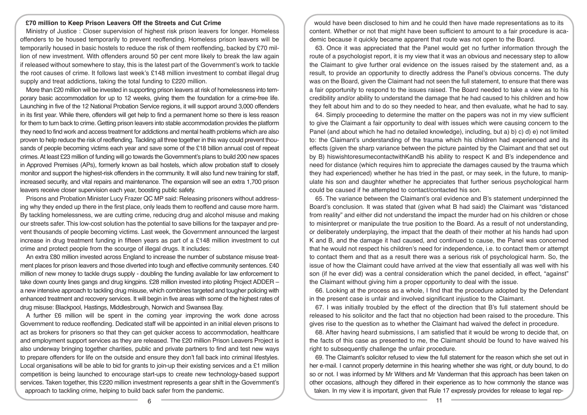# **£70 million to Keep Prison Leavers Off the Streets and Cut Crime**

Ministry of Justice : Closer supervision of highest risk prison leavers for longer. Homeless offenders to be housed temporarily to prevent reoffending. Homeless prison leavers will be temporarily housed in basic hostels to reduce the risk of them reoffending, backed by £70 million of new investment. With offenders around 50 per cent more likely to break the law again if released without somewhere to stay, this is the latest part of the Government's work to tackle the root causes of crime. It follows last week's £148 million investment to combat illegal drug supply and treat addictions, taking the total funding to £220 million.

More than £20 million will be invested in supporting prison leavers at risk of homelessness into temporary basic accommodation for up to 12 weeks, giving them the foundation for a crime-free life. Launching in five of the 12 National Probation Service regions, it will support around 3,000 offenders in its first year. While there, offenders will get help to find a permanent home so there is less reason for them to turn back to crime. Getting prison leavers into stable accommodation provides the platform they need to find work and access treatment for addictions and mental health problems which are also proven to help reduce the risk of reoffending. Tackling all three together in this way could prevent thousands of people becoming victims each year and save some of the £18 billion annual cost of repeat crimes. At least £23 million of funding will go towards the Government's plans to build 200 new spaces in Approved Premises (APs), formerly known as bail hostels, which allow probation staff to closely monitor and support the highest-risk offenders in the community. It will also fund new training for staff, increased security, and vital repairs and maintenance. The expansion will see an extra 1,700 prison leavers receive closer supervision each year, boosting public safety.

Prisons and Probation Minister Lucy Frazer QC MP said: Releasing prisoners without addressing why they ended up there in the first place, only leads them to reoffend and cause more harm. By tackling homelessness, we are cutting crime, reducing drug and alcohol misuse and making our streets safer. This low-cost solution has the potential to save billions for the taxpayer and prevent thousands of people becoming victims. Last week, the Government announced the largest increase in drug treatment funding in fifteen years as part of a £148 million investment to cut crime and protect people from the scourge of illegal drugs. It includes:

An extra £80 million invested across England to increase the number of substance misuse treatment places for prison leavers and those diverted into tough and effective community sentences. £40 million of new money to tackle drugs supply - doubling the funding available for law enforcement to take down county lines gangs and drug kingpins. £28 million invested into piloting Project ADDER – a new intensive approach to tackling drug misuse, which combines targeted and tougher policing with enhanced treatment and recovery services. It will begin in five areas with some of the highest rates of drug misuse: Blackpool, Hastings, Middlesbrough, Norwich and Swansea Bay.

A further £6 million will be spent in the coming year improving the work done across Government to reduce reoffending. Dedicated staff will be appointed in an initial eleven prisons to act as brokers for prisoners so that they can get quicker access to accommodation, healthcare and employment support services as they are released. The £20 million Prison Leavers Project is also underway bringing together charities, public and private partners to find and test new ways to prepare offenders for life on the outside and ensure they don't fall back into criminal lifestyles. Local organisations will be able to bid for grants to join-up their existing services and a £1 million competition is being launched to encourage start-ups to create new technology-based support services. Taken together, this £220 million investment represents a gear shift in the Government's approach to tackling crime, helping to build back safer from the pandemic.

would have been disclosed to him and he could then have made representations as to its content. Whether or not that might have been sufficient to amount to a fair procedure is academic because it quickly became apparent that route was not open to the Board.

63. Once it was appreciated that the Panel would get no further information through the route of a psychologist report, it is my view that it was an obvious and necessary step to allow the Claimant to give further oral evidence on the issues raised by the statement and, as a result, to provide an opportunity to directly address the Panel's obvious concerns. The duty was on the Board, given the Claimant had not seen the full statement, to ensure that there was a fair opportunity to respond to the issues raised. The Board needed to take a view as to his credibility and/or ability to understand the damage that he had caused to his children and how they felt about him and to do so they needed to hear, and then evaluate, what he had to say.

64. Simply proceeding to determine the matter on the papers was not in my view sufficient to give the Claimant a fair opportunity to deal with issues which were causing concern to the Panel (and about which he had no detailed knowledge), including, but a) b) c) d) e) not limited to: the Claimant's understanding of the trauma which his children had experienced and its effects (given the sharp variance between the picture painted by the Claimant and that set out by B) hiswishtoresumecontactwithKandB his ability to respect K and B's independence and need for distance (which requires him to appreciate the damages caused by the trauma which they had experienced) whether he has tried in the past, or may seek, in the future, to manipulate his son and daughter whether he appreciates that further serious psychological harm could be caused if he attempted to contact/contacted his son.

65. The variance between the Claimant's oral evidence and B's statement underpinned the Board's conclusion. It was stated that (given what B had said) the Claimant was "distanced from reality" and either did not understand the impact the murder had on his children or chose to misinterpret or manipulate the true position to the Board. As a result of not understanding, or deliberately underplaying, the impact that the death of their mother at his hands had upon K and B, and the damage it had caused, and continued to cause, the Panel was concerned that he would not respect his children's need for independence, i.e. to contact them or attempt to contact them and that as a result there was a serious risk of psychological harm. So, the issue of how the Claimant could have arrived at the view that essentially all was well with his son (if he ever did) was a central consideration which the panel decided, in effect, "against" the Claimant without giving him a proper opportunity to deal with the issue.

66. Looking at the process as a whole, I find that the procedure adopted by the Defendant in the present case is unfair and involved significant injustice to the Claimant.

67. I was initially troubled by the effect of the direction that B's full statement should be released to his solicitor and the fact that no objection had been raised to the procedure. This gives rise to the question as to whether the Claimant had waived the defect in procedure.

68. After having heard submissions, I am satisfied that it would be wrong to decide that, on the facts of this case as presented to me, the Claimant should be found to have waived his right to subsequently challenge the unfair procedure.

69. The Claimant's solicitor refused to view the full statement for the reason which she set out in her e-mail. I cannot properly determine in this hearing whether she was right, or duty bound, to do so or not. I was informed by Mr Withers and Mr Vanderman that this approach has been taken on other occasions, although they differed in their experience as to how commonly the stance was taken. In my view it is important, given that Rule 17 expressly provides for release to legal rep-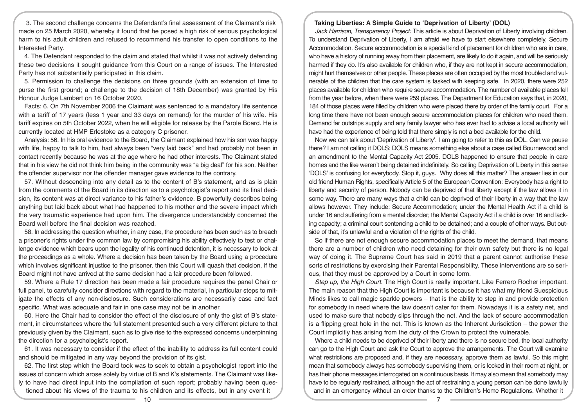3. The second challenge concerns the Defendant's final assessment of the Claimant's risk made on 25 March 2020, whereby it found that he posed a high risk of serious psychological harm to his adult children and refused to recommend his transfer to open conditions to the Interested Party.

4. The Defendant responded to the claim and stated that whilst it was not actively defending these two decisions it sought guidance from this Court on a range of issues. The Interested Party has not substantially participated in this claim.

5. Permission to challenge the decisions on three grounds (with an extension of time to purse the first ground; a challenge to the decision of 18th December) was granted by His Honour Judge Lambert on 16 October 2020.

Facts: 6. On 7th November 2006 the Claimant was sentenced to a mandatory life sentence with a tariff of 17 years (less 1 year and 33 days on remand) for the murder of his wife. His tariff expires on 5th October 2022, when he will eligible for release by the Parole Board. He is currently located at HMP Erlestoke as a category C prisoner.

Analysis: 56. In his oral evidence to the Board, the Claimant explained how his son was happy with life, happy to talk to him, had always been "very laid back" and had probably not been in contact recently because he was at the age where he had other interests. The Claimant stated that in his view he did not think him being in the community was "a big deal" for his son. Neither the offender supervisor nor the offender manager gave evidence to the contrary.

57. Without descending into any detail as to the content of B's statement, and as is plain from the comments of the Board in its direction as to a psychologist's report and its final decision, its content was at direct variance to his father's evidence. B powerfully describes being anything but laid back about what had happened to his mother and the severe impact which the very traumatic experience had upon him. The divergence understandably concerned the Board well before the final decision was reached.

58. In addressing the question whether, in any case, the procedure has been such as to breach a prisoner's rights under the common law by compromising his ability effectively to test or challenge evidence which bears upon the legality of his continued detention, it is necessary to look at the proceedings as a whole. Where a decision has been taken by the Board using a procedure which involves significant injustice to the prisoner, then this Court will quash that decision, if the Board might not have arrived at the same decision had a fair procedure been followed.

59. Where a Rule 17 direction has been made a fair procedure requires the panel Chair or full panel, to carefully consider directions with regard to the material, in particular steps to mitigate the effects of any non-disclosure. Such considerations are necessarily case and fact specific. What was adequate and fair in one case may not be in another.

60. Here the Chair had to consider the effect of the disclosure of only the gist of B's statement, in circumstances where the full statement presented such a very different picture to that previously given by the Claimant, such as to give rise to the expressed concerns underpinning the direction for a psychologist's report.

61. It was necessary to consider if the effect of the inability to address its full content could and should be mitigated in any way beyond the provision of its gist.

62. The first step which the Board took was to seek to obtain a psychologist report into the issues of concern which arose solely by virtue of B and K's statements. The Claimant was likely to have had direct input into the compilation of such report; probably having been questioned about his views of the trauma to his children and its effects, but in any event it

# **Taking Liberties: A Simple Guide to 'Deprivation of Liberty' (DOL)**

*Jack Harrison, Transparency Project:* This article is about Deprivation of Liberty involving children. To understand Deprivation of Liberty, I am afraid we have to start elsewhere completely, Secure Accommodation. Secure accommodation is a special kind of placement for children who are in care, who have a history of running away from their placement, are likely to do it again, and will be seriously harmed if they do. It's also available for children who, if they are not kept in secure accommodation, might hurt themselves or other people. These places are often occupied by the most troubled and vulnerable of the children that the care system is tasked with keeping safe. In 2020, there were 252 places available for children who require secure accommodation. The number of available places fell from the year before, when there were 259 places. The Department for Education says that, in 2020, 184 of those places were filled by children who were placed there by order of the family court. For a long time there have not been enough secure accommodation places for children who need them. Demand far outstrips supply and any family lawyer who has ever had to advise a local authority will have had the experience of being told that there simply is not a bed available for the child.

Now we can talk about 'Deprivation of Liberty'. I am going to refer to this as DOL. Can we pause there? I am not calling it DOLS; DOLS means something else about a case called Bournewood and an amendment to the Mental Capacity Act 2005. DOLS happened to ensure that people in care homes and the like weren't being detained indefinitely. So calling Deprivation of Liberty in this sense 'DOLS' is confusing for everybody. Stop it, guys. Why does all this matter? The answer lies in our old friend Human Rights, specifically Article 5 of the European Convention: Everybody has a right to liberty and security of person. Nobody can be deprived of that liberty except if the law allows it in some way. There are many ways that a child can be deprived of their liberty in a way that the law allows however. They include: Secure Accommodation; under the Mental Health Act if a child is under 16 and suffering from a mental disorder; the Mental Capacity Act if a child is over 16 and lacking capacity; a criminal court sentencing a child to be detained; and a couple of other ways. But outside of that, it's unlawful and a violation of the rights of the child.

So if there are not enough secure accommodation places to meet the demand, that means there are a number of children who need detaining for their own safety but there is no legal way of doing it. The Supreme Court has said in 2019 that a parent cannot authorise these sorts of restrictions by exercising their Parental Responsibility. These interventions are so serious, that they must be approved by a Court in some form.

*Step up, the High Court*. The High Court is really important. Like Ferrero Rocher important. The main reason that the High Court is important is because it has what my friend Suespicious Minds likes to call magic sparkle powers – that is the ability to step in and provide protection for somebody in need where the law doesn't cater for them. Nowadays it is a safety net, and used to make sure that nobody slips through the net. And the lack of secure accommodation is a flipping great hole in the net. This is known as the Inherent Jurisdiction – the power the Court implicitly has arising from the duty of the Crown to protect the vulnerable.

Where a child needs to be deprived of their liberty and there is no secure bed, the local authority can go to the High Court and ask the Court to approve the arrangements. The Court will examine what restrictions are proposed and, if they are necessary, approve them as lawful. So this might mean that somebody always has somebody supervising them, or is locked in their room at night, or has their phone messages interrogated on a continuous basis. It may also mean that somebody may have to be regularly restrained, although the act of restraining a young person can be done lawfully and in an emergency without an order thanks to the Children's Home Regulations. Whether it